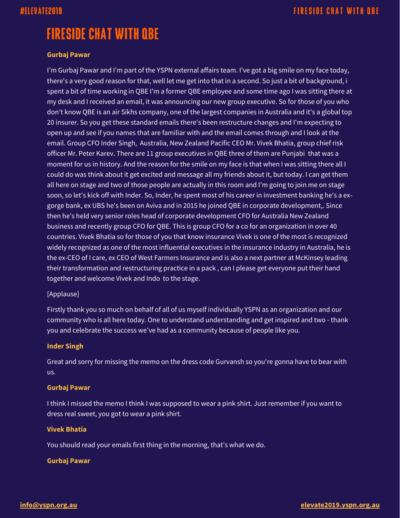# **FIRESIDE CHAT WITH QBE**

#### **Gurbaj Pawar**

I'm Gurbaj Pawar and I'm part of the YSPN external affairs team. I've got a big smile on my face today, there's a very good reason for that, well let me get into that in a second. So just a bit of background, i spent a bit of time working in QBE I'm a former QBE employee and some time ago I was sitting there at my desk and I received an email, it was announcing our new group executive. So for those of you who don't know QBE is an air Sikhs company, one of the largest companies in Australia and it's a global top 20 insurer. So you get these standard emails there's been restructure changes and I'm expecting to open up and see if you names that are familiar with and the email comes through and I look at the email. Group CFO Inder Singh, Australia, New Zealand Pacific CEO Mr. Vivek Bhatia, group chief risk officer Mr. Peter Karev. There are 11 group executives in QBE three of them are Punjabi that was a moment for us in history. And the reason for the smile on my face is that when I was sitting there all I could do was think about it get excited and message all my friends about it, but today. I can get them all here on stage and two of those people are actually in this room and I'm going to join me on stage soon, so let's kick off with Inder. So, Inder, he spent most of his career in investment banking he's a exgorge bank, ex UBS he's been on Aviva and in 2015 he joined QBE in corporate development,. Since then he's held very senior roles head of corporate development CFO for Australia New Zealand business and recently group CFO for QBE. This is group CFO for a co for an organization in over 40 countries. Vivek Bhatia so for those of you that know insurance Vivek is one of the most is recognized widely recognized as one of the most influential executives in the insurance industry in Australia, he is the ex-CEO of I care, ex CEO of West Farmers Insurance and is also a next partner at McKinsey leading their transformation and restructuring practice in a pack , can I please get everyone put their hand together and welcome Vivek and Indo to the stage.

### [Applause]

Firstly thank you so much on behalf of all of us myself individually YSPN as an organization and our community who is all here today. One to understand understanding and get inspired and two - thank you and celebrate the success we've had as a community because of people like you.

### **Inder Singh**

Great and sorry for missing the memo on the dress code Gurvansh so you're gonna have to bear with us.

#### **Gurbaj Pawar**

I think I missed the memo I think I was supposed to wear a pink shirt. Just remember if you want to dress real sweet, you got to wear a pink shirt.

#### **Vivek Bhatia**

You should read your emails first thing in the morning, that's what we do.

#### **Gurbaj Pawar**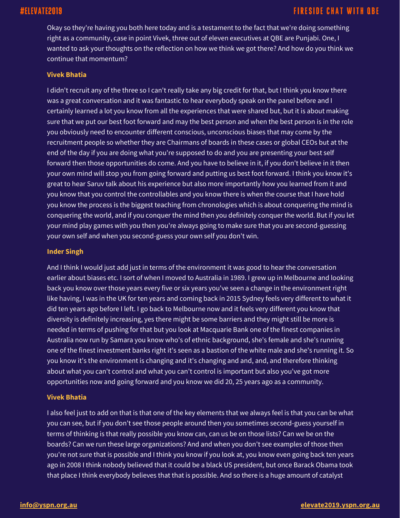## #ELEVATE2019

Okay so they're having you both here today and is a testament to the fact that we're doing something right as a community, case in point Vivek, three out of eleven executives at QBE are Punjabi. One, I wanted to ask your thoughts on the reflection on how we think we got there? And how do you think we continue that momentum?

#### **Vivek Bhatia**

I didn't recruit any of the three so I can't really take any big credit for that, but I think you know there was a great conversation and it was fantastic to hear everybody speak on the panel before and I certainly learned a lot you know from all the experiences that were shared but, but it is about making sure that we put our best foot forward and may the best person and when the best person is in the role you obviously need to encounter different conscious, unconscious biases that may come by the recruitment people so whether they are Chairmans of boards in these cases or global CEOs but at the end of the day if you are doing what you're supposed to do and you are presenting your best self forward then those opportunities do come. And you have to believe in it, if you don't believe in it then your own mind will stop you from going forward and putting us best foot forward. I think you know it's great to hear Saruv talk about his experience but also more importantly how you learned from it and you know that you control the controllables and you know there is when the course that I have hold you know the process is the biggest teaching from chronologies which is about conquering the mind is conquering the world, and if you conquer the mind then you definitely conquer the world. But if you let your mind play games with you then you're always going to make sure that you are second-guessing your own self and when you second-guess your own self you don't win.

#### **Inder Singh**

And I think I would just add just in terms of the environment it was good to hear the conversation earlier about biases etc. I sort of when I moved to Australia in 1989. I grew up in Melbourne and looking back you know over those years every five or six years you've seen a change in the environment right like having, I was in the UK for ten years and coming back in 2015 Sydney feels very different to what it did ten years ago before I left. I go back to Melbourne now and it feels very different you know that diversity is definitely increasing, yes there might be some barriers and they might still be more is needed in terms of pushing for that but you look at Macquarie Bank one of the finest companies in Australia now run by Samara you know who's of ethnic background, she's female and she's running one of the finest investment banks right it's seen as a bastion of the white male and she's running it. So you know it's the environment is changing and it's changing and and, and, and therefore thinking about what you can't control and what you can't control is important but also you've got more opportunities now and going forward and you know we did 20, 25 years ago as a community.

#### **Vivek Bhatia**

I also feel just to add on that is that one of the key elements that we always feel is that you can be what you can see, but if you don't see those people around then you sometimes second-guess yourself in terms of thinking is that really possible you know can, can us be on those lists? Can we be on the boards? Can we run these large organizations? And and when you don't see examples of those then you're not sure that is possible and I think you know if you look at, you know even going back ten years ago in 2008 I think nobody believed that it could be a black US president, but once Barack Obama took that place I think everybody believes that that is possible. And so there is a huge amount of catalyst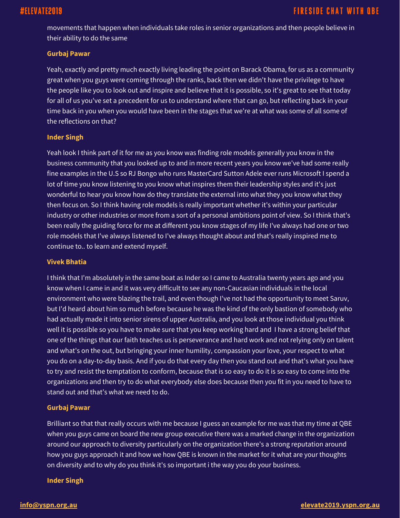movements that happen when individuals take roles in senior organizations and then people believe in their ability to do the same

#### **Gurbaj Pawar**

Yeah, exactly and pretty much exactly living leading the point on Barack Obama, for us as a community great when you guys were coming through the ranks, back then we didn't have the privilege to have the people like you to look out and inspire and believe that it is possible, so it's great to see that today for all of us you've set a precedent for us to understand where that can go, but reflecting back in your time back in you when you would have been in the stages that we're at what was some of all some of the reflections on that?

### **Inder Singh**

Yeah look I think part of it for me as you know was finding role models generally you know in the business community that you looked up to and in more recent years you know we've had some really fine examples in the U.S so RJ Bongo who runs MasterCard Sutton Adele ever runs Microsoft I spend a lot of time you know listening to you know what inspires them their leadership styles and it's just wonderful to hear you know how do they translate the external into what they you know what they then focus on. So I think having role models is really important whether it's within your particular industry or other industries or more from a sort of a personal ambitions point of view. So I think that's been really the guiding force for me at different you know stages of my life I've always had one or two role models that I've always listened to I've always thought about and that's really inspired me to continue to.. to learn and extend myself.

#### **Vivek Bhatia**

I think that I'm absolutely in the same boat as Inder so I came to Australia twenty years ago and you know when I came in and it was very difficult to see any non-Caucasian individuals in the local environment who were blazing the trail, and even though I've not had the opportunity to meet Saruv, but I'd heard about him so much before because he was the kind of the only bastion of somebody who had actually made it into senior sirens of upper Australia, and you look at those individual you think well it is possible so you have to make sure that you keep working hard and I have a strong belief that one of the things that our faith teaches us is perseverance and hard work and not relying only on talent and what's on the out, but bringing your inner humility, compassion your love, your respect to what you do on a day-to-day basis. And if you do that every day then you stand out and that's what you have to try and resist the temptation to conform, because that is so easy to do it is so easy to come into the organizations and then try to do what everybody else does because then you fit in you need to have to stand out and that's what we need to do.

### **Gurbaj Pawar**

Brilliant so that that really occurs with me because I guess an example for me was that my time at QBE when you guys came on board the new group executive there was a marked change in the organization around our approach to diversity particularly on the organization there's a strong reputation around how you guys approach it and how we how QBE is known in the market for it what are your thoughts on diversity and to why do you think it's so important i the way you do your business.

### **Inder Singh**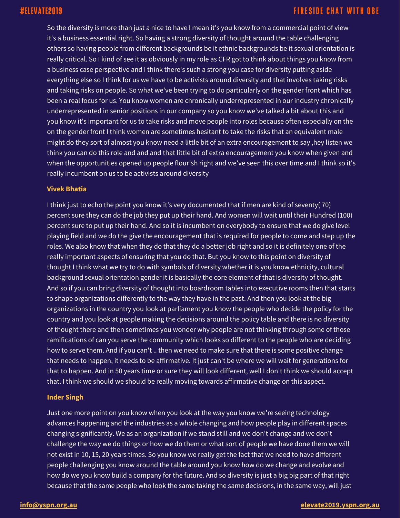So the diversity is more than just a nice to have I mean it's you know from a commercial point of view it's a business essential right. So having a strong diversity of thought around the table challenging others so having people from different backgrounds be it ethnic backgrounds be it sexual orientation is really critical. So I kind of see it as obviously in my role as CFR got to think about things you know from a business case perspective and I think there's such a strong you case for diversity putting aside everything else so I think for us we have to be activists around diversity and that involves taking risks and taking risks on people. So what we've been trying to do particularly on the gender front which has been a real focus for us. You know women are chronically underrepresented in our industry chronically underrepresented in senior positions in our company so you know we've talked a bit about this and you know it's important for us to take risks and move people into roles because often especially on the on the gender front I think women are sometimes hesitant to take the risks that an equivalent male might do they sort of almost you know need a little bit of an extra encouragement to say ,hey listen we think you can do this role and and and that little bit of extra encouragement you know when given and when the opportunities opened up people flourish right and we've seen this over time.and I think so it's really incumbent on us to be activists around diversity

#### **Vivek Bhatia**

I think just to echo the point you know it's very documented that if men are kind of seventy( 70) percent sure they can do the job they put up their hand. And women will wait until their Hundred (100) percent sure to put up their hand. And so it is incumbent on everybody to ensure that we do give level playing field and we do the give the encouragement that is required for people to come and step up the roles. We also know that when they do that they do a better job right and so it is definitely one of the really important aspects of ensuring that you do that. But you know to this point on diversity of thought I think what we try to do with symbols of diversity whether it is you know ethnicity, cultural background sexual orientation gender it is basically the core element of that is diversity of thought. And so if you can bring diversity of thought into boardroom tables into executive rooms then that starts to shape organizations differently to the way they have in the past. And then you look at the big organizations in the country you look at parliament you know the people who decide the policy for the country and you look at people making the decisions around the policy table and there is no diversity of thought there and then sometimes you wonder why people are not thinking through some of those ramifications of can you serve the community which looks so different to the people who are deciding how to serve them. And if you can't .. then we need to make sure that there is some positive change that needs to happen, it needs to be affirmative. It just can't be where we will wait for generations for that to happen. And in 50 years time or sure they will look different, well I don't think we should accept that. I think we should we should be really moving towards affirmative change on this aspect.

### **Inder Singh**

Just one more point on you know when you look at the way you know we're seeing technology advances happening and the industries as a whole changing and how people play in different spaces changing significantly. We as an organization if we stand still and we don't change and we don't challenge the way we do things or how we do them or what sort of people we have done them we will not exist in 10, 15, 20 years times. So you know we really get the fact that we need to have different people challenging you know around the table around you know how do we change and evolve and how do we you know build a company for the future. And so diversity is just a big big part of that right because that the same people who look the same taking the same decisions, in the same way, will just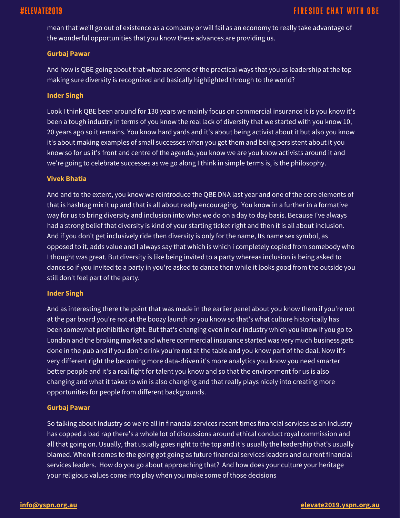mean that we'll go out of existence as a company or will fail as an economy to really take advantage of the wonderful opportunities that you know these advances are providing us.

#### **Gurbaj Pawar**

And how is QBE going about that what are some of the practical ways that you as leadership at the top making sure diversity is recognized and basically highlighted through to the world?

#### **Inder Singh**

Look I think QBE been around for 130 years we mainly focus on commercial insurance it is you know it's been a tough industry in terms of you know the real lack of diversity that we started with you know 10, 20 years ago so it remains. You know hard yards and it's about being activist about it but also you know it's about making examples of small successes when you get them and being persistent about it you know so for us it's front and centre of the agenda, you know we are you know activists around it and we're going to celebrate successes as we go along I think in simple terms is, is the philosophy.

#### **Vivek Bhatia**

And and to the extent, you know we reintroduce the QBE DNA last year and one of the core elements of that is hashtag mix it up and that is all about really encouraging. You know in a further in a formative way for us to bring diversity and inclusion into what we do on a day to day basis. Because I've always had a strong belief that diversity is kind of your starting ticket right and then it is all about inclusion. And if you don't get inclusively ride then diversity is only for the name, Its name sex symbol, as opposed to it, adds value and I always say that which is which i completely copied from somebody who I thought was great. But diversity is like being invited to a party whereas inclusion is being asked to dance so if you invited to a party in you're asked to dance then while it looks good from the outside you still don't feel part of the party.

#### **Inder Singh**

And as interesting there the point that was made in the earlier panel about you know them if you're not at the par board you're not at the boozy launch or you know so that's what culture historically has been somewhat prohibitive right. But that's changing even in our industry which you know if you go to London and the broking market and where commercial insurance started was very much business gets done in the pub and if you don't drink you're not at the table and you know part of the deal. Now it's very different right the becoming more data-driven it's more analytics you know you need smarter better people and it's a real fight for talent you know and so that the environment for us is also changing and what it takes to win is also changing and that really plays nicely into creating more opportunities for people from different backgrounds.

### **Gurbaj Pawar**

So talking about industry so we're all in financial services recent times financial services as an industry has copped a bad rap there's a whole lot of discussions around ethical conduct royal commission and all that going on. Usually, that usually goes right to the top and it's usually the leadership that's usually blamed. When it comes to the going got going as future financial services leaders and current financial services leaders. How do you go about approaching that? And how does your culture your heritage your religious values come into play when you make some of those decisions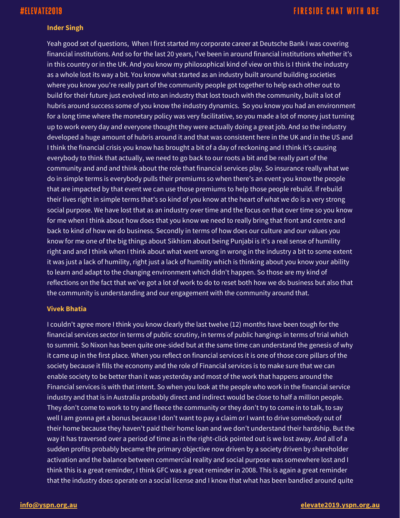#### **Inder Singh**

Yeah good set of questions, When I first started my corporate career at Deutsche Bank I was covering financial institutions. And so for the last 20 years, I've been in around financial institutions whether it's in this country or in the UK. And you know my philosophical kind of view on this is I think the industry as a whole lost its way a bit. You know what started as an industry built around building societies where you know you're really part of the community people got together to help each other out to build for their future just evolved into an industry that lost touch with the community, built a lot of hubris around success some of you know the industry dynamics. So you know you had an environment for a long time where the monetary policy was very facilitative, so you made a lot of money just turning up to work every day and everyone thought they were actually doing a great job. And so the industry developed a huge amount of hubris around it and that was consistent here in the UK and in the US and I think the financial crisis you know has brought a bit of a day of reckoning and I think it's causing everybody to think that actually, we need to go back to our roots a bit and be really part of the community and and and think about the role that financial services play. So insurance really what we do in simple terms is everybody pulls their premiums so when there's an event you know the people that are impacted by that event we can use those premiums to help those people rebuild. If rebuild their lives right in simple terms that's so kind of you know at the heart of what we do is a very strong social purpose. We have lost that as an industry over time and the focus on that over time so you know for me when I think about how does that you know we need to really bring that front and centre and back to kind of how we do business. Secondly in terms of how does our culture and our values you know for me one of the big things about Sikhism about being Punjabi is it's a real sense of humility right and and I think when I think about what went wrong in wrong in the industry a bit to some extent it was just a lack of humility, right just a lack of humility which is thinking about you know your ability to learn and adapt to the changing environment which didn't happen. So those are my kind of reflections on the fact that we've got a lot of work to do to reset both how we do business but also that the community is understanding and our engagement with the community around that.

#### **Vivek Bhatia**

I couldn't agree more I think you know clearly the last twelve (12) months have been tough for the financial services sector in terms of public scrutiny, in terms of public hangings in terms of trial which to summit. So Nixon has been quite one-sided but at the same time can understand the genesis of why it came up in the first place. When you reflect on financial services it is one of those core pillars of the society because it fills the economy and the role of Financial services is to make sure that we can enable society to be better than it was yesterday and most of the work that happens around the Financial services is with that intent. So when you look at the people who work in the financial service industry and that is in Australia probably direct and indirect would be close to half a million people. They don't come to work to try and fleece the community or they don't try to come in to talk, to say well I am gonna get a bonus because I don't want to pay a claim or I want to drive somebody out of their home because they haven't paid their home loan and we don't understand their hardship. But the way it has traversed over a period of time as in the right-click pointed out is we lost away. And all of a sudden profits probably became the primary objective now driven by a society driven by shareholder activation and the balance between commercial reality and social purpose was somewhere lost and I think this is a great reminder, I think GFC was a great reminder in 2008. This is again a great reminder that the industry does operate on a social license and I know that what has been bandied around quite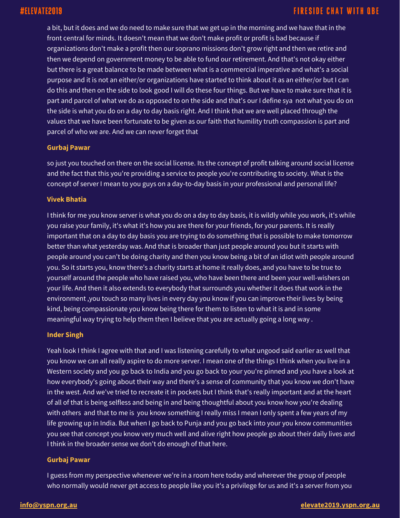a bit, but it does and we do need to make sure that we get up in the morning and we have that in the front central for minds. It doesn't mean that we don't make profit or profit is bad because if organizations don't make a profit then our soprano missions don't grow right and then we retire and then we depend on government money to be able to fund our retirement. And that's not okay either but there is a great balance to be made between what is a commercial imperative and what's a social purpose and it is not an either/or organizations have started to think about it as an either/or but I can do this and then on the side to look good I will do these four things. But we have to make sure that it is part and parcel of what we do as opposed to on the side and that's our I define sya not what you do on the side is what you do on a day to day basis right. And I think that we are well placed through the values that we have been fortunate to be given as our faith that humility truth compassion is part and parcel of who we are. And we can never forget that

#### **Gurbaj Pawar**

so just you touched on there on the social license. Its the concept of profit talking around social license and the fact that this you're providing a service to people you're contributing to society. What is the concept of server I mean to you guys on a day-to-day basis in your professional and personal life?

#### **Vivek Bhatia**

I think for me you know server is what you do on a day to day basis, it is wildly while you work, it's while you raise your family, it's what it's how you are there for your friends, for your parents. It is really important that on a day to day basis you are trying to do something that is possible to make tomorrow better than what yesterday was. And that is broader than just people around you but it starts with people around you can't be doing charity and then you know being a bit of an idiot with people around you. So it starts you, know there's a charity starts at home it really does, and you have to be true to yourself around the people who have raised you, who have been there and been your well-wishers on your life. And then it also extends to everybody that surrounds you whether it does that work in the environment ,you touch so many lives in every day you know if you can improve their lives by being kind, being compassionate you know being there for them to listen to what it is and in some meaningful way trying to help them then I believe that you are actually going a long way .

### **Inder Singh**

Yeah look I think I agree with that and I was listening carefully to what ungood said earlier as well that you know we can all really aspire to do more server. I mean one of the things I think when you live in a Western society and you go back to India and you go back to your you're pinned and you have a look at how everybody's going about their way and there's a sense of community that you know we don't have in the west. And we've tried to recreate it in pockets but I think that's really important and at the heart of all of that is being selfless and being in and being thoughtful about you know how you're dealing with others and that to me is you know something I really miss I mean I only spent a few years of my life growing up in India. But when I go back to Punja and you go back into your you know communities you see that concept you know very much well and alive right how people go about their daily lives and I think in the broader sense we don't do enough of that here.

#### **Gurbaj Pawar**

I guess from my perspective whenever we're in a room here today and wherever the group of people who normally would never get access to people like you it's a privilege for us and it's a server from you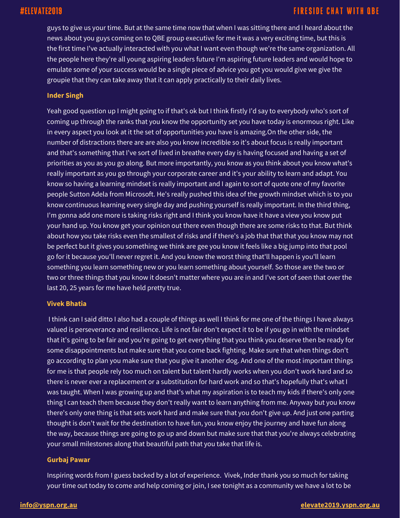guys to give us your time. But at the same time now that when I was sitting there and I heard about the news about you guys coming on to QBE group executive for me it was a very exciting time, but this is the first time I've actually interacted with you what I want even though we're the same organization. All the people here they're all young aspiring leaders future I'm aspiring future leaders and would hope to emulate some of your success would be a single piece of advice you got you would give we give the groupie that they can take away that it can apply practically to their daily lives.

#### **Inder Singh**

Yeah good question up I might going to if that's ok but I think firstly I'd say to everybody who's sort of coming up through the ranks that you know the opportunity set you have today is enormous right. Like in every aspect you look at it the set of opportunities you have is amazing.On the other side, the number of distractions there are are also you know incredible so it's about focus is really important and that's something that I've sort of lived in breathe every day is having focused and having a set of priorities as you as you go along. But more importantly, you know as you think about you know what's really important as you go through your corporate career and it's your ability to learn and adapt. You know so having a learning mindset is really important and I again to sort of quote one of my favorite people Sutton Adela from Microsoft. He's really pushed this idea of the growth mindset which is to you know continuous learning every single day and pushing yourself is really important. In the third thing, I'm gonna add one more is taking risks right and I think you know have it have a view you know put your hand up. You know get your opinion out there even though there are some risks to that. But think about how you take risks even the smallest of risks and if there's a job that that that you know may not be perfect but it gives you something we think are gee you know it feels like a big jump into that pool go for it because you'll never regret it. And you know the worst thing that'll happen is you'll learn something you learn something new or you learn something about yourself. So those are the two or two or three things that you know it doesn't matter where you are in and I've sort of seen that over the last 20, 25 years for me have held pretty true.

#### **Vivek Bhatia**

I think can I said ditto I also had a couple of things as well I think for me one of the things I have always valued is perseverance and resilience. Life is not fair don't expect it to be if you go in with the mindset that it's going to be fair and you're going to get everything that you think you deserve then be ready for some disappointments but make sure that you come back fighting. Make sure that when things don't go according to plan you make sure that you give it another dog. And one of the most important things for me is that people rely too much on talent but talent hardly works when you don't work hard and so there is never ever a replacement or a substitution for hard work and so that's hopefully that's what I was taught. When I was growing up and that's what my aspiration is to teach my kids if there's only one thing I can teach them because they don't really want to learn anything from me. Anyway but you know there's only one thing is that sets work hard and make sure that you don't give up. And just one parting thought is don't wait for the destination to have fun, you know enjoy the journey and have fun along the way, because things are going to go up and down but make sure that that you're always celebrating your small milestones along that beautiful path that you take that life is.

#### **Gurbaj Pawar**

Inspiring words from I guess backed by a lot of experience. Vivek, Inder thank you so much for taking your time out today to come and help coming or join, I see tonight as a community we have a lot to be